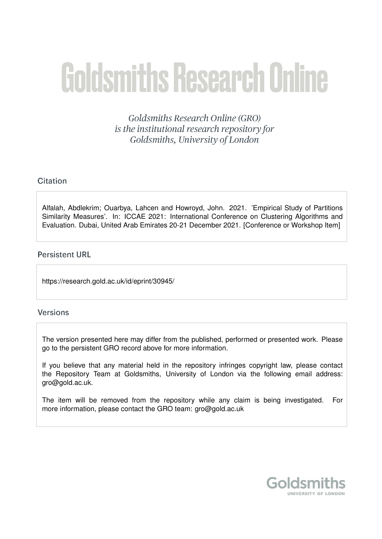# **Goldsmiths Research Online**

Goldsmiths Research Online (GRO) is the institutional research repository for Goldsmiths, University of London

# Citation

Alfalah, Abdlekrim; Ouarbya, Lahcen and Howroyd, John. 2021. 'Empirical Study of Partitions Similarity Measures'. In: ICCAE 2021: International Conference on Clustering Algorithms and Evaluation. Dubai, United Arab Emirates 20-21 December 2021. [Conference or Workshop Item]

## **Persistent URL**

https://research.gold.ac.uk/id/eprint/30945/

### **Versions**

The version presented here may differ from the published, performed or presented work. Please go to the persistent GRO record above for more information.

If you believe that any material held in the repository infringes copyright law, please contact the Repository Team at Goldsmiths, University of London via the following email address: gro@gold.ac.uk.

The item will be removed from the repository while any claim is being investigated. For more information, please contact the GRO team: gro@gold.ac.uk

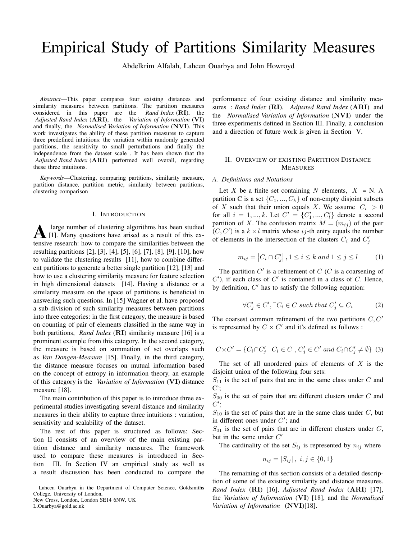# Empirical Study of Partitions Similarity Measures

Abdelkrim Alfalah, Lahcen Ouarbya and John Howroyd

*Abstract*—This paper compares four existing distances and similarity measures between partitions. The partition measures considered in this paper are the *Rand Index* (RI), the *Adjusted Rand Index* (ARI), the *Variation of Information* (VI) and finally, the *Normalised Variation of Information* (NVI). This work investigates the ability of these partition measures to capture three predefined intuitions: the variation within randomly generated partitions, the sensitivity to small perturbations and finally the independence from the dataset scale . It has been shown that the *Adjusted Rand Index* (ARI) performed well overall, regarding these three intuitions.

*Keywords*—Clustering, comparing partitions, similarity measure, partition distance, partition metric, similarity between partitions, clustering comparison

#### I. INTRODUCTION

A large number of clustering algorithms has been studied [1]. Many questions have arised as a result of this extensive research: how to compare the similarities between the large number of clustering algorithms has been studied [1]. Many questions have arised as a result of this exresulting partitions [2], [3], [4], [5], [6], [7], [8], [9], [10], how to validate the clustering results [11], how to combine different partitions to generate a better single partition [12], [13] and how to use a clustering similarity measure for feature selection in high dimensional datasets [14]. Having a distance or a similarity measure on the space of partitions is beneficial in answering such questions. In [15] Wagner et al. have proposed a sub-division of such similarity measures between partitions into three categories: in the first category, the measure is based on counting of pair of elements classified in the same way in both partitions, *Rand Index* (RI) similarity measure [16] is a prominent example from this category. In the second category, the measure is based on summation of set overlaps such as *Van Dongen-Measure* [15]. Finally, in the third category, the distance measure focuses on mutual information based on the concept of entropy in information theory, an example of this category is the *Variation of Information* (VI) distance measure [18].

The main contribution of this paper is to introduce three experimental studies investigating several distance and similarity measures in their ability to capture three intuitions : variation, sensitivity and scalability of the dataset.

The rest of this paper is structured as follows: Section II consists of an overview of the main existing partition distance and similarity measures. The framework used to compare these measures is introduced in Section III. In Section IV an empirical study as well as a result discussion has been conducted to compare the

Lahcen Ouarbya in the Department of Computer Science, Goldsmiths College, University of London, New Cross, London, London SE14 6NW, UK

L.Ouarbya@gold.ac.uk

performance of four existing distance and similarity measures : *Rand Index* (RI), *Adjusted Rand Index* (ARI) and the *Normalised Variation of Information* (NVI) under the three experiments defined in Section III. Finally, a conclusion and a direction of future work is given in Section V.

#### II. OVERVIEW OF EXISTING PARTITION DISTANCE MEASURES

#### *A. Definitions and Notations*

Let X be a finite set containing N elements,  $|X| = N$ . A partition C is a set  $\{C_1, ..., C_k\}$  of non-empty disjoint subsets of X such that their union equals X. We assume  $|C_i| > 0$ for all  $i = 1, ..., k$ . Let  $C' = \{C'_1, ..., C'_l\}$  denote a second partition of X. The confusion matrix  $M = (m_{ij})$  of the pair  $(C, C')$  is a  $k \times l$  matrix whose ij-th entry equals the number of elements in the intersection of the clusters  $C_i$  and  $C'_j$ 

$$
m_{ij} = |C_i \cap C'_j|, 1 \le i \le k \text{ and } 1 \le j \le l \tag{1}
$$

The partition  $C'$  is a refinement of  $C$  (C is a coarsening of  $C'$ ), if each class of  $C'$  is contained in a class of  $C$ . Hence, by definition,  $C'$  has to satisfy the following equation:

$$
\forall C'_j \in C', \exists C_i \in C \text{ such that } C'_j \subseteq C_i \tag{2}
$$

The coarsest common refinement of the two partitions  $C, C'$ is represented by  $C \times C'$  and it's defined as follows :

$$
C \times C' = \{ C_i \cap C'_j \mid C_i \in C, C'_j \in C' \text{ and } C_i \cap C'_j \neq \emptyset \} \tag{3}
$$

The set of all unordered pairs of elements of  $X$  is the disjoint union of the following four sets:

 $S_{11}$  is the set of pairs that are in the same class under C and  $C$ ;

 $S_{00}$  is the set of pairs that are different clusters under C and  $C';$ 

 $S_{10}$  is the set of pairs that are in the same class under C, but in different ones under  $C'$ ; and

 $S_{01}$  is the set of pairs that are in different clusters under C, but in the same under  $C'$ 

The cardinality of the set  $S_{ij}$  is represented by  $n_{ij}$  where

$$
n_{ij} = |S_{ij}|, i, j \in \{0, 1\}
$$

The remaining of this section consists of a detailed description of some of the existing similarity and distance measures. *Rand Index* (RI) [16], *Adjusted Rand Index* (ARI) [17], the *Variation of Information* (VI) [18], and the *Normalized Variation of Information* (NVI)[18].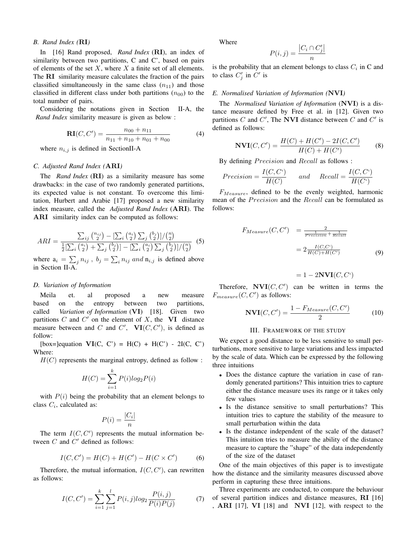#### *B. Rand Index (*RI*)*

In [16] Rand proposed, *Rand Index* (RI), an index of similarity between two partitions, C and C', based on pairs of elements of the set  $X$ , where  $X$  a finite set of all elements. The **RI** similarity measure calculates the fraction of the pairs classified simultaneously in the same class  $(n_{11})$  and those classified in different class under both partitions  $(n_{00})$  to the total number of pairs.

Considering the notations given in Section II-A, the *Rand Index* similarity measure is given as below :

$$
\mathbf{RI}(C, C') = \frac{n_{00} + n_{11}}{n_{11} + n_{10} + n_{01} + n_{00}}
$$
(4)

where  $n_{i,j}$  is defined in SectionII-A

#### *C. Adjusted Rand Index (*ARI*)*

The *Rand Index* (RI) as a similarity measure has some drawbacks: in the case of two randomly generated partitions, its expected value is not constant. To overcome this limitation, Hurbert and Arabie [17] proposed a new similarity index measure, called the *Adjusted Rand Index* (ARI). The ARI similarity index can be computed as follows:

$$
ARI = \frac{\sum_{ij} \binom{n_{ij}}{2} - \left[\sum_{i} \binom{a_i}{2} \sum_{j} \binom{b_j}{2}\right] / \binom{n}{2}}{\frac{1}{2} \left[\sum_{i} \binom{a_i}{2} + \sum_{j} \binom{b_j}{2}\right] - \left[\sum_{i} \binom{a_i}{2} \sum_{j} \binom{b_j}{2}\right] / \binom{n}{2}} \tag{5}
$$

where  $a_i = \sum_j n_{ij}$ ,  $b_j = \sum_i n_{ij}$  and  $n_{i,j}$  is defined above in Section II-A.

#### *D. Variation of Information*

Meila et. al proposed a new measure based on the entropy between two partitions, called *Variation of Information* (VI) [18]. Given two partitions  $C$  and  $C'$  on the element of  $X$ , the VI distance measure between and C and C',  $\mathbf{VI}(C, C')$ , is defined as follow:

[box=]equation  $VI(C, C') = H(C) + H(C') - 2I(C, C')$ Where:

 $H(C)$  represents the marginal entropy, defined as follow :

$$
H(C) = \sum_{i=1}^{k} P(i)log_2 P(i)
$$

with  $P(i)$  being the probability that an element belongs to class  $C_i$ , calculated as:

$$
P(i) = \frac{|C_i|}{n}
$$

The term  $I(C, C')$  represents the mutual information between  $C$  and  $C'$  defined as follows:

$$
I(C, C') = H(C) + H(C') - H(C \times C')
$$
 (6)

Therefore, the mutual information,  $I(C, C')$ , can rewritten as follows:

$$
I(C, C') = \sum_{i=1}^{k} \sum_{j=1}^{l} P(i, j) log_2 \frac{P(i, j)}{P(i)P(j)}
$$
(7)

Where

$$
P(i,j) = \frac{|C_i \cap C'_j|}{n}
$$

is the probability that an element belongs to class  $C_i$  in C and to class  $C'_j$  in  $C'$  is

#### *E. Normalised Variation of Information (*NVI*)*

The *Normalised Variation of Information* (NVI) is a distance measure defined by Free et al. in [12]. Given two partitions  $C$  and  $C'$ , The NVI distance between  $C$  and  $C'$  is defined as follows:

$$
NVI(C, C') = \frac{H(C) + H(C') - 2I(C, C')}{H(C) + H(C')} \tag{8}
$$

By defining *Precision* and *Recall* as follows :

$$
Precision = \frac{I(C, C^{\prime})}{H(C)} \quad and \quad Recall = \frac{I(C, C^{\prime})}{H(C^{\prime})}
$$

 $F_{Measure}$ , defined to be the evenly weighted, harmonic mean of the *Precision* and the *Recall* can be formulated as follows:

$$
F_{Measure}(C, C') = \frac{2}{\frac{1}{Precision} + \frac{1}{Recall}}
$$

$$
= 2 \frac{I(C, C')}{H(C) + H(C')}
$$
(9)

$$
= 1 - 2\mathbf{NVI}(C, C^c)
$$

Therefore,  $\textbf{NVI}(C, C')$  can be written in terms the  $F_{measure}(C, C')$  as follows:

$$
NVI(C, C') = \frac{1 - F_{Measure}(C, C')}{2}
$$
 (10)

#### III. FRAMEWORK OF THE STUDY

We expect a good distance to be less sensitive to small perturbations, more sensitive to large variations and less impacted by the scale of data. Which can be expressed by the following three intuitions

- Does the distance capture the variation in case of randomly generated partitions? This intuition tries to capture either the distance measure uses its range or it takes only few values
- Is the distance sensitive to small perturbations? This intuition tries to capture the stability of the measure to small perturbation within the data
- Is the distance independent of the scale of the dataset? This intuition tries to measure the ability of the distance measure to capture the "shape" of the data independently of the size of the dataset

One of the main objectives of this paper is to investigate how the distance and the similarity measures discussed above perform in capturing these three intuitions.

Three experiments are conducted, to compare the behaviour of several partition indices and distance measures, RI [16] , ARI [17], VI [18] and NVI [12], with respect to the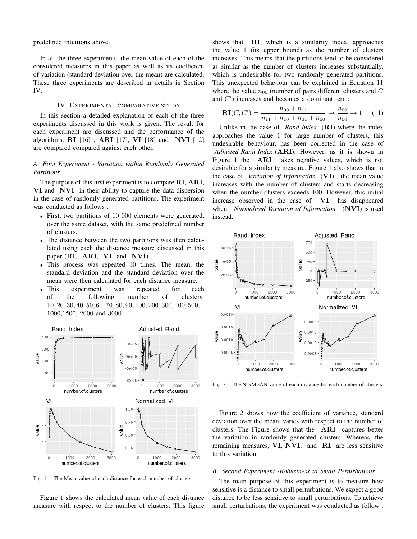predefined intuitions above.

In all the three experiments, the mean value of each of the considered measures in this paper as well as its coefficient of variation (standard deviation over the mean) are calculated. These three experiments are described in details in Section IV.

#### IV. EXPERIMENTAL COMPARATIVE STUDY

In this section a detailed explanation of each of the three experiments discussed in this work is given. The result for each experiment are discussed and the performance of the algorithms:  $\textbf{R}\textbf{I}$  [16],  $\textbf{A}\textbf{R}\textbf{I}$  [17],  $\textbf{V}\textbf{I}$  [18] and  $\textbf{N}\textbf{V}\textbf{I}$  [12] are compared compared against each other.

#### *A. First Experiment - Variation within Randomly Generated Partitions*

The purpose of this first experiment is to compare RI, ARI, VI and NVI in their ability to capture the data dispersion in the case of randomly generated partitions. The experiment was conducted as follows :

- First, two partitions of 10 000 elements were generated, over the same dataset, with the same predefined number of clusters.
- The distance between the two partitions was then calculated using each the distance measure discussed in this paper (RI, ARI, VI and NVI) .
- This process was repeated 30 times. The mean, the standard deviation and the standard deviation over the mean were then calculated for each distance measure.
- This experiment was repeated for each of the following number of clusters: 10, 20, 30, 40, 50, 60, 70, 80, 90, 100, 200, 300, 400, 500, 1000,1500, 2000 and 3000



Fig. 1. The Mean value of each distance for each number of clusters.

Figure 1 shows the calculated mean value of each distance measure with respect to the number of clusters. This figure

shows that RI, which is a similarity index, approaches the value 1 (its upper bound) as the number of clusters increases. This means that the partitions tend to be considered as similar as the number of clusters increases substantially, which is undesirable for two randomly generated partitions. This unexpected behaviour can be explained in Equation 11 where the value  $n_{00}$  (number of pairs different clusters and C and C ′ ) increases and becomes a dominant term:

$$
\mathbf{RI}(C, C') = \frac{n_{00} + n_{11}}{n_{11} + n_{10} + n_{01} + n_{00}} \to \frac{n_{00}}{n_{00}} \to 1 \quad (11)
$$

Unlike in the case of *Rand Index* (RI) where the index approaches the value 1 for large number of clusters, this undesirable behaviour, has been corrected in the case of *Adjusted Rand Index* (ARI). However, as it is shown in Figure 1 the ARI takes negative values, which is not desirable for a similarity measure. Figure 1 also shows that in the case of *Variation of Information* (VI) , the mean value increases with the number of clusters and starts decreasing when the number clusters exceeds 100. However, this initial increase observed in the case of VI has disappeared when *Normalised Variation of Information* (NVI) is used instead.



Fig. 2. The SD/MEAN value of each distance for each number of clusters

Figure 2 shows how the coefficient of variance, standard deviation over the mean, varies with respect to the number of clusters. The Figure shows that the ARI captures better the variation in randomly generated clusters. Whereas, the remaining measures, VI, NVI, and RI are less sensitive to this variation.

#### *B. Second Experiment -Robustness to Small Perturbations*

The main purpose of this experiment is to measure how sensitive is a distance to small perturbations. We expect a good distance to be less sensitive to small perturbations. To achieve small perturbations, the experiment was conducted as follow :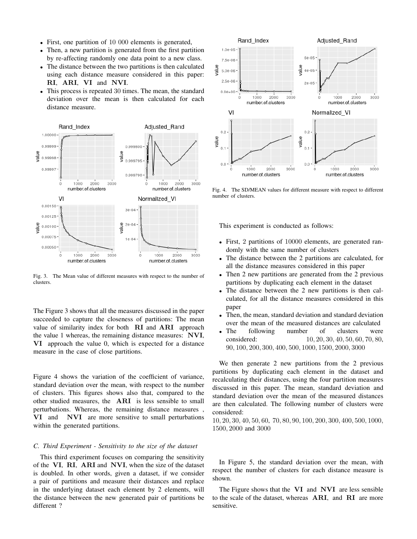- First, one partition of 10 000 elements is generated,
- Then, a new partition is generated from the first partition by re-affecting randomly one data point to a new class.
- The distance between the two partitions is then calculated using each distance measure considered in this paper: RI, ARI, VI and NVI.
- This process is repeated 30 times. The mean, the standard deviation over the mean is then calculated for each distance measure.



Fig. 3. The Mean value of different measures with respect to the number of clusters.

The Figure 3 shows that all the measures discussed in the paper succeeded to capture the closeness of partitions: The mean value of similarity index for both RI and ARI approach the value 1 whereas, the remaining distance measures: NVI, VI approach the value 0, which is expected for a distance measure in the case of close partitions.

Figure 4 shows the variation of the coefficient of variance, standard deviation over the mean, with respect to the number of clusters. This figures shows also that, compared to the other studied measures, the ARI is less sensible to small perturbations. Whereas, the remaining distance measures , VI and NVI are more sensitive to small perturbations within the generated partitions.

#### *C. Third Experiment - Sensitivity to the size of the dataset*

This third experiment focuses on comparing the sensitivity of the VI, RI, ARI and NVI, when the size of the dataset is doubled. In other words, given a dataset, if we consider a pair of partitions and measure their distances and replace in the underlying dataset each element by 2 elements, will the distance between the new generated pair of partitions be different ?



Fig. 4. The SD/MEAN values for different measure with respect to different number of clusters.

This experiment is conducted as follows:

- First, 2 partitions of 10000 elements, are generated randomly with the same number of clusters
- The distance between the 2 partitions are calculated, for all the distance measures considered in this paper
- Then 2 new partitions are generated from the 2 previous partitions by duplicating each element in the dataset
- The distance between the 2 new partitions is then calculated, for all the distance measures considered in this paper
- Then, the mean, standard deviation and standard deviation over the mean of the measured distances are calculated
- The following number of clusters were considered:  $10, 20, 30, 40, 50, 60, 70, 80,$ 90, 100, 200, 300, 400, 500, 1000, 1500, 2000, 3000

We then generate 2 new partitions from the 2 previous partitions by duplicating each element in the dataset and recalculating their distances, using the four partition measures discussed in this paper. The mean, standard deviation and standard deviation over the mean of the measured distances are then calculated. The following number of clusters were considered:

10, 20, 30, 40, 50, 60, 70, 80, 90, 100, 200, 300, 400, 500, 1000, 1500, 2000 and 3000

In Figure 5, the standard deviation over the mean, with respect the number of clusters for each distance measure is shown.

The Figure shows that the VI and NVI are less sensible to the scale of the dataset, whereas ARI, and RI are more sensitive.